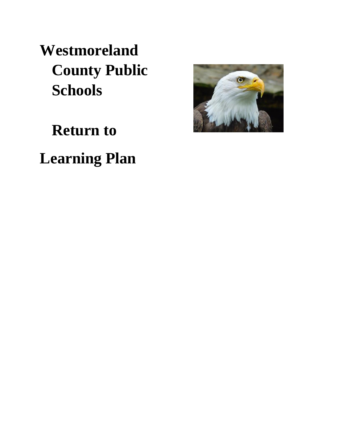**Westmoreland County Public Schools** 

**Return to** 

**Learning Plan** 

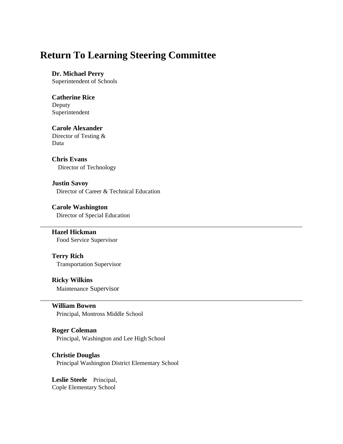### **Return To Learning Steering Committee**

### **[Dr. Michael Perry](http://division.wmlcps.org/dr-perry.html)**

Superintendent of Schools

#### **Catherine Rice**  Deputy

Superintendent

### **[Carole Alexander](http://division.wmlcps.org/alexander.html)**

Director of Testing & Data

#### **[Chris Evans](http://division.wmlcps.org/evans.html)**  Director of Technology

#### **Justin Savoy**  Director of Career & Technical Education

#### **[Carole Washington](http://division.wmlcps.org/savoy.html)**  Director of Special Education

#### **[Hazel Hickman](http://division.wmlcps.org/hickman.html)** Food Service Supervisor

#### **[Terry Rich](http://division.wmlcps.org/terry-rich.html)**  Transportation Supervisor

### **[Ricky Wilkins](http://division.wmlcps.org/wilkins.html)**

Maintenance Supervisor

#### **William Bowen**

Principal, Montross Middle School

### **Roger Coleman**

Principal, Washington and Lee High School

### **Christie Douglas**

Principal Washington District Elementary School

**Leslie Steele** Principal, Cople Elementary School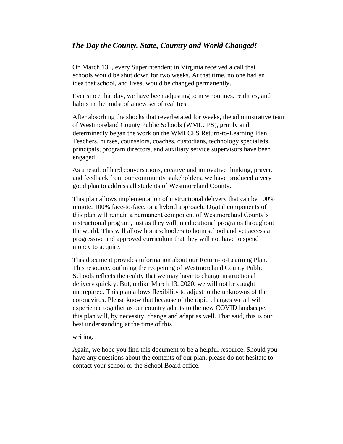### *The Day the County, State, Country and World Changed!*

On March 13th, every Superintendent in Virginia received a call that schools would be shut down for two weeks. At that time, no one had an idea that school, and lives, would be changed permanently.

Ever since that day, we have been adjusting to new routines, realities, and habits in the midst of a new set of realities.

After absorbing the shocks that reverberated for weeks, the administrative team of Westmoreland County Public Schools (WMLCPS), grimly and determinedly began the work on the WMLCPS Return-to-Learning Plan. Teachers, nurses, counselors, coaches, custodians, technology specialists, principals, program directors, and auxiliary service supervisors have been engaged!

As a result of hard conversations, creative and innovative thinking, prayer, and feedback from our community stakeholders, we have produced a very good plan to address all students of Westmoreland County.

This plan allows implementation of instructional delivery that can be 100% remote, 100% face-to-face, or a hybrid approach. Digital components of this plan will remain a permanent component of Westmoreland County's instructional program, just as they will in educational programs throughout the world. This will allow homeschoolers to homeschool and yet access a progressive and approved curriculum that they will not have to spend money to acquire.

This document provides information about our Return-to-Learning Plan. This resource, outlining the reopening of Westmoreland County Public Schools reflects the reality that we may have to change instructional delivery quickly. But, unlike March 13, 2020, we will not be caught unprepared. This plan allows flexibility to adjust to the unknowns of the coronavirus. Please know that because of the rapid changes we all will experience together as our country adapts to the new COVID landscape, this plan will, by necessity, change and adapt as well. That said, this is our best understanding at the time of this

#### writing.

Again, we hope you find this document to be a helpful resource. Should you have any questions about the contents of our plan, please do not hesitate to contact your school or the School Board office.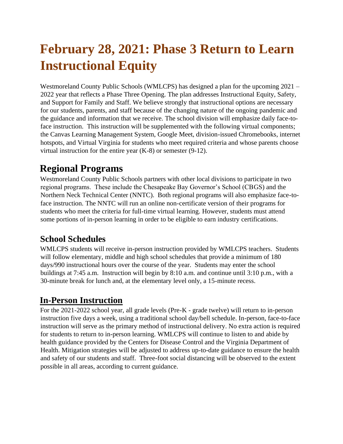# **February 28, 2021: Phase 3 Return to Learn Instructional Equity**

Westmoreland County Public Schools (WMLCPS) has designed a plan for the upcoming 2021 – 2022 year that reflects a Phase Three Opening. The plan addresses Instructional Equity, Safety, and Support for Family and Staff. We believe strongly that instructional options are necessary for our students, parents, and staff because of the changing nature of the ongoing pandemic and the guidance and information that we receive. The school division will emphasize daily face-toface instruction. This instruction will be supplemented with the following virtual components; the Canvas Learning Management System, Google Meet, division-issued Chromebooks, internet hotspots, and Virtual Virginia for students who meet required criteria and whose parents choose virtual instruction for the entire year (K-8) or semester (9-12).

## **Regional Programs**

Westmoreland County Public Schools partners with other local divisions to participate in two regional programs. These include the Chesapeake Bay Governor's School (CBGS) and the Northern Neck Technical Center (NNTC). Both regional programs will also emphasize face-toface instruction. The NNTC will run an online non-certificate version of their programs for students who meet the criteria for full-time virtual learning. However, students must attend some portions of in-person learning in order to be eligible to earn industry certifications.

### **School Schedules**

WMLCPS students will receive in-person instruction provided by WMLCPS teachers. Students will follow elementary, middle and high school schedules that provide a minimum of 180 days/990 instructional hours over the course of the year. Students may enter the school buildings at 7:45 a.m. Instruction will begin by 8:10 a.m. and continue until 3:10 p.m., with a 30-minute break for lunch and, at the elementary level only, a 15-minute recess.

### **In-Person Instruction**

For the 2021-2022 school year, all grade levels (Pre-K - grade twelve) will return to in-person instruction five days a week, using a traditional school day/bell schedule. In-person, face-to-face instruction will serve as the primary method of instructional delivery. No extra action is required for students to return to in-person learning. WMLCPS will continue to listen to and abide by health guidance provided by the Centers for Disease Control and the Virginia Department of Health. Mitigation strategies will be adjusted to address up-to-date guidance to ensure the health and safety of our students and staff. Three-foot social distancing will be observed to the extent possible in all areas, according to current guidance.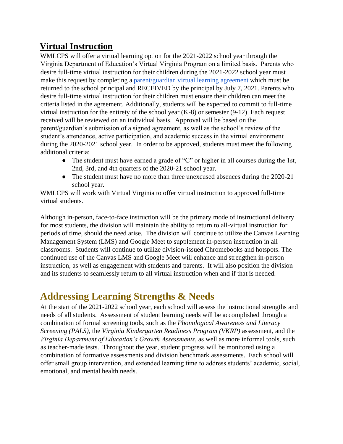### **Virtual Instruction**

WMLCPS will offer a virtual learning option for the 2021-2022 school year through the Virginia Department of Education's Virtual Virginia Program on a limited basis. Parents who desire full-time virtual instruction for their children during the 2021-2022 school year must make this request by completing [a](https://docs.google.com/document/d/1gdbwUtr3oXc7BO-qYQMeINQjL9Cp6ndkWUeluLbUhqg/edit?usp=sharing) [parent/guardian virtual learning agreement](https://docs.google.com/document/d/1gdbwUtr3oXc7BO-qYQMeINQjL9Cp6ndkWUeluLbUhqg/edit?usp=sharing) [w](https://docs.google.com/document/d/1gdbwUtr3oXc7BO-qYQMeINQjL9Cp6ndkWUeluLbUhqg/edit?usp=sharing)hich must be returned to the school principal and RECEIVED by the principal by July 7, 2021. Parents who desire full-time virtual instruction for their children must ensure their children can meet the criteria listed in the agreement. Additionally, students will be expected to commit to full-time virtual instruction for the entirety of the school year (K-8) or semester (9-12). Each request received will be reviewed on an individual basis. Approval will be based on the parent/guardian's submission of a signed agreement, as well as the school's review of the student's attendance, active participation, and academic success in the virtual environment during the 2020-2021 school year. In order to be approved, students must meet the following additional criteria:

- The student must have earned a grade of "C" or higher in all courses during the 1st, 2nd, 3rd, and 4th quarters of the 2020-21 school year.
- The student must have no more than three unexcused absences during the 2020-21 school year.

WMLCPS will work with Virtual Virginia to offer virtual instruction to approved full-time virtual students.

Although in-person, face-to-face instruction will be the primary mode of instructional delivery for most students, the division will maintain the ability to return to all-virtual instruction for periods of time, should the need arise. The division will continue to utilize the Canvas Learning Management System (LMS) and Google Meet to supplement in-person instruction in all classrooms. Students will continue to utilize division-issued Chromebooks and hotspots. The continued use of the Canvas LMS and Google Meet will enhance and strengthen in-person instruction, as well as engagement with students and parents. It will also position the division and its students to seamlessly return to all virtual instruction when and if that is needed.

## **Addressing Learning Strengths & Needs**

At the start of the 2021-2022 school year, each school will assess the instructional strengths and needs of all students. Assessment of student learning needs will be accomplished through a combination of formal screening tools, such as the *Phonological Awareness and Literacy Screening (PALS),* the *Virginia Kindergarten Readiness Program (VKRP)* assessment*,* and the *Virginia Department of Education's Growth Assessments*, as well as more informal tools, such as teacher-made tests. Throughout the year, student progress will be monitored using a combination of formative assessments and division benchmark assessments. Each school will offer small group intervention, and extended learning time to address students' academic, social, emotional, and mental health needs.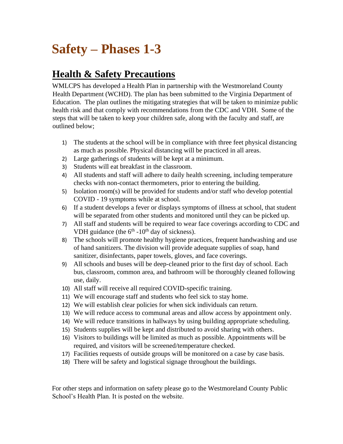# **Safety – Phases 1-3**

## **Health & Safety Precautions**

WMLCPS has developed a Health Plan in partnership with the Westmoreland County Health Department (WCHD). The plan has been submitted to the Virginia Department of Education. The plan outlines the mitigating strategies that will be taken to minimize public health risk and that comply with recommendations from the CDC and VDH. Some of the steps that will be taken to keep your children safe, along with the faculty and staff, are outlined below;

- 1) The students at the school will be in compliance with three feet physical distancing as much as possible. Physical distancing will be practiced in all areas.
- 2) Large gatherings of students will be kept at a minimum.
- 3) Students will eat breakfast in the classroom.
- 4) All students and staff will adhere to daily health screening, including temperature checks with non-contact thermometers, prior to entering the building.
- 5) Isolation room(s) will be provided for students and/or staff who develop potential COVID - 19 symptoms while at school.
- 6) If a student develops a fever or displays symptoms of illness at school, that student will be separated from other students and monitored until they can be picked up.
- 7) All staff and students will be required to wear face coverings according to CDC and VDH guidance (the  $6<sup>th</sup>$  -10<sup>th</sup> day of sickness).
- 8) The schools will promote healthy hygiene practices, frequent handwashing and use of hand sanitizers. The division will provide adequate supplies of soap, hand sanitizer, disinfectants, paper towels, gloves, and face coverings.
- 9) All schools and buses will be deep-cleaned prior to the first day of school. Each bus, classroom, common area, and bathroom will be thoroughly cleaned following use, daily.
- 10) All staff will receive all required COVID-specific training.
- 11) We will encourage staff and students who feel sick to stay home.
- 12) We will establish clear policies for when sick individuals can return.
- 13) We will reduce access to communal areas and allow access by appointment only.
- 14) We will reduce transitions in hallways by using building appropriate scheduling.
- 15) Students supplies will be kept and distributed to avoid sharing with others.
- 16) Visitors to buildings will be limited as much as possible. Appointments will be required, and visitors will be screened/temperature checked.
- 17) Facilities requests of outside groups will be monitored on a case by case basis.
- 18) There will be safety and logistical signage throughout the buildings.

For other steps and information on safety please go to the Westmoreland County Public School's Health Plan. It is posted on the website.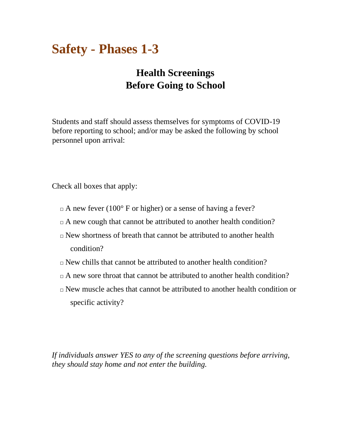# **Safety - Phases 1-3**

## **Health Screenings Before Going to School**

Students and staff should assess themselves for symptoms of COVID-19 before reporting to school; and/or may be asked the following by school personnel upon arrival:

Check all boxes that apply:

- $\Box$  A new fever (100 $\degree$  F or higher) or a sense of having a fever?
- $\Box$  A new cough that cannot be attributed to another health condition?
- $\Box$  New shortness of breath that cannot be attributed to another health condition?
- $\Box$  New chills that cannot be attributed to another health condition?
- $\Box$  A new sore throat that cannot be attributed to another health condition?
- $\Box$  New muscle aches that cannot be attributed to another health condition or specific activity?

*If individuals answer YES to any of the screening questions before arriving, they should stay home and not enter the building.*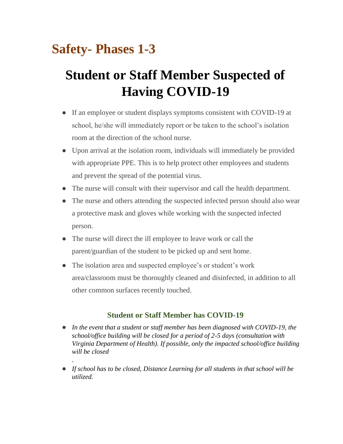# **Safety- Phases 1-3**

*.* 

# **Student or Staff Member Suspected of Having COVID-19**

- If an employee or student displays symptoms consistent with COVID-19 at school, he/she will immediately report or be taken to the school's isolation room at the direction of the school nurse.
- Upon arrival at the isolation room, individuals will immediately be provided with appropriate PPE. This is to help protect other employees and students and prevent the spread of the potential virus.
- The nurse will consult with their supervisor and call the health department.
- The nurse and others attending the suspected infected person should also wear a protective mask and gloves while working with the suspected infected person.
- The nurse will direct the ill employee to leave work or call the parent/guardian of the student to be picked up and sent home.
- The isolation area and suspected employee's or student's work area/classroom must be thoroughly cleaned and disinfected, in addition to all other common surfaces recently touched.

### **Student or Staff Member has COVID-19**

- *In the event that a student or staff member has been diagnosed with COVID-19, the school/office building will be closed for a period of 2-5 days (consultation with Virginia Department of Health). If possible, only the impacted school/office building will be closed*
- *If school has to be closed, Distance Learning for all students in that school will be utilized.*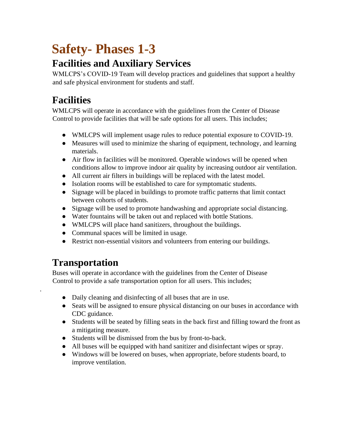# **Safety- Phases 1-3**

## **Facilities and Auxiliary Services**

WMLCPS's COVID-19 Team will develop practices and guidelines that support a healthy and safe physical environment for students and staff.

## **Facilities**

WMLCPS will operate in accordance with the guidelines from the Center of Disease Control to provide facilities that will be safe options for all users. This includes;

- WMLCPS will implement usage rules to reduce potential exposure to COVID-19.
- Measures will used to minimize the sharing of equipment, technology, and learning materials.
- Air flow in facilities will be monitored. Operable windows will be opened when conditions allow to improve indoor air quality by increasing outdoor air ventilation.
- All current air filters in buildings will be replaced with the latest model.
- Isolation rooms will be established to care for symptomatic students.
- Signage will be placed in buildings to promote traffic patterns that limit contact between cohorts of students.
- Signage will be used to promote handwashing and appropriate social distancing.
- Water fountains will be taken out and replaced with bottle Stations.
- WMLCPS will place hand sanitizers, throughout the buildings.
- Communal spaces will be limited in usage.
- Restrict non-essential visitors and volunteers from entering our buildings.

## **Transportation**

.

Buses will operate in accordance with the guidelines from the Center of Disease Control to provide a safe transportation option for all users. This includes;

- Daily cleaning and disinfecting of all buses that are in use.
- Seats will be assigned to ensure physical distancing on our buses in accordance with CDC guidance.
- Students will be seated by filling seats in the back first and filling toward the front as a mitigating measure.
- Students will be dismissed from the bus by front-to-back.
- All buses will be equipped with hand sanitizer and disinfectant wipes or spray.
- Windows will be lowered on buses, when appropriate, before students board, to improve ventilation.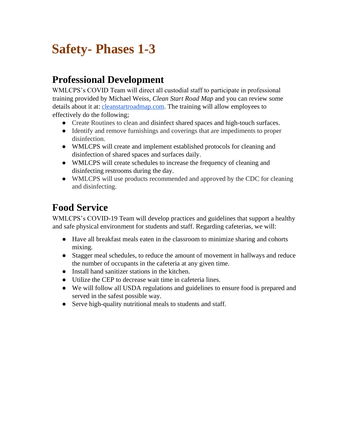# **Safety- Phases 1-3**

## **Professional Development**

WMLCPS's COVID Team will direct all custodial staff to participate in professional training provided by Michael Weiss, *Clean Start Road Map* and you can review some details about it at[:](http://cleanstartroadmap.com/) [cleanstartroadmap.com](http://cleanstartroadmap.com/)[.](http://cleanstartroadmap.com/) The training will allow employees to effectively do the following;

- Create Routines to clean and disinfect shared spaces and high-touch surfaces.
- Identify and remove furnishings and coverings that are impediments to proper disinfection.
- WMLCPS will create and implement established protocols for cleaning and disinfection of shared spaces and surfaces daily.
- WMLCPS will create schedules to increase the frequency of cleaning and disinfecting restrooms during the day.
- WMLCPS will use products recommended and approved by the CDC for cleaning and disinfecting.

## **Food Service**

WMLCPS's COVID-19 Team will develop practices and guidelines that support a healthy and safe physical environment for students and staff. Regarding cafeterias, we will:

- Have all breakfast meals eaten in the classroom to minimize sharing and cohorts mixing.
- Stagger meal schedules, to reduce the amount of movement in hallways and reduce the number of occupants in the cafeteria at any given time.
- Install hand sanitizer stations in the kitchen.
- Utilize the CEP to decrease wait time in cafeteria lines.
- We will follow all USDA regulations and guidelines to ensure food is prepared and served in the safest possible way.
- Serve high-quality nutritional meals to students and staff.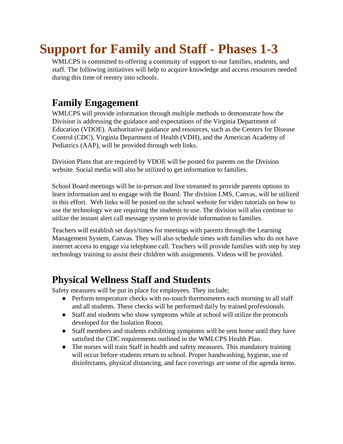# **Support for Family and Staff - Phases 1-3**

WMLCPS is committed to offering a continuity of support to our families, students, and staff. The following initiatives will help to acquire knowledge and access resources needed during this time of reentry into schools.

## **Family Engagement**

WMLCPS will provide information through multiple methods to demonstrate how the Division is addressing the guidance and expectations of the Virginia Department of Education (VDOE). Authoritative guidance and resources, such as the Centers for Disease Control (CDC), Virginia Department of Health (VDH), and the American Academy of Pediatrics (AAP), will be provided through web links.

Division Plans that are required by VDOE will be posted for parents on the Division website. Social media will also be utilized to get information to families.

School Board meetings will be in-person and live streamed to provide parents options to learn information and to engage with the Board. The division LMS, Canvas, will be utilized in this effort. Web links will be posted on the school website for video tutorials on how to use the technology we are requiring the students to use. The division will also continue to utilize the instant alert call message system to provide information to families.

Teachers will establish set days/times for meetings with parents through the Learning Management System, Canvas. They will also schedule times with families who do not have internet access to engage via telephone call. Teachers will provide families with step by step technology training to assist their children with assignments. Videos will be provided.

### **Physical Wellness Staff and Students**

Safety measures will be put in place for employees. They include;

- Perform temperature checks with no-touch thermometers each morning to all staff and all students. These checks will be performed daily by trained professionals.
- Staff and students who show symptoms while at school will utilize the protocols developed for the Isolation Room.
- Staff members and students exhibiting symptoms will be sent home until they have satisfied the CDC requirements outlined in the WMLCPS Health Plan.
- The nurses will train Staff in health and safety measures. This mandatory training will occur before students return to school. Proper handwashing, hygiene, use of disinfectants, physical distancing, and face coverings are some of the agenda items.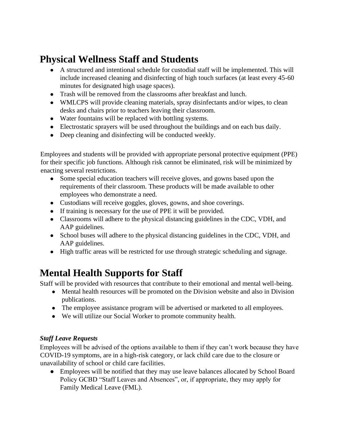## **Physical Wellness Staff and Students**

- A structured and intentional schedule for custodial staff will be implemented. This will include increased cleaning and disinfecting of high touch surfaces (at least every 45-60 minutes for designated high usage spaces).
- Trash will be removed from the classrooms after breakfast and lunch.
- WMLCPS will provide cleaning materials, spray disinfectants and/or wipes, to clean desks and chairs prior to teachers leaving their classroom.
- Water fountains will be replaced with bottling systems.
- Electrostatic sprayers will be used throughout the buildings and on each bus daily.
- Deep cleaning and disinfecting will be conducted weekly.

Employees and students will be provided with appropriate personal protective equipment (PPE) for their specific job functions. Although risk cannot be eliminated, risk will be minimized by enacting several restrictions.

- Some special education teachers will receive gloves, and gowns based upon the requirements of their classroom. These products will be made available to other employees who demonstrate a need.
- Custodians will receive goggles, gloves, gowns, and shoe coverings.
- If training is necessary for the use of PPE it will be provided.
- Classrooms will adhere to the physical distancing guidelines in the CDC, VDH, and AAP guidelines.
- School buses will adhere to the physical distancing guidelines in the CDC, VDH, and AAP guidelines.
- High traffic areas will be restricted for use through strategic scheduling and signage.

## **Mental Health Supports for Staff**

Staff will be provided with resources that contribute to their emotional and mental well-being.

- Mental health resources will be promoted on the Division website and also in Division publications.
- The employee assistance program will be advertised or marketed to all employees.
- We will utilize our Social Worker to promote community health.

### *Staff Leave Requests*

Employees will be advised of the options available to them if they can't work because they have COVID-19 symptoms, are in a high-risk category, or lack child care due to the closure or unavailability of school or child care facilities.

• Employees will be notified that they may use leave balances allocated by School Board Policy GCBD "Staff Leaves and Absences", or, if appropriate, they may apply for Family Medical Leave (FML).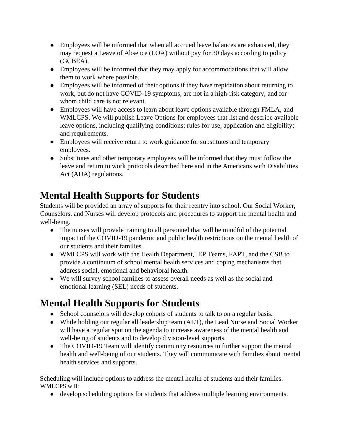- Employees will be informed that when all accrued leave balances are exhausted, they may request a Leave of Absence (LOA) without pay for 30 days according to policy (GCBEA).
- Employees will be informed that they may apply for accommodations that will allow them to work where possible.
- Employees will be informed of their options if they have trepidation about returning to work, but do not have COVID-19 symptoms, are not in a high-risk category, and for whom child care is not relevant.
- Employees will have access to learn about leave options available through FMLA, and WMLCPS. We will publish Leave Options for employees that list and describe available leave options, including qualifying conditions; rules for use, application and eligibility; and requirements.
- Employees will receive return to work guidance for substitutes and temporary employees.
- Substitutes and other temporary employees will be informed that they must follow the leave and return to work protocols described here and in the Americans with Disabilities Act (ADA) regulations.

## **Mental Health Supports for Students**

Students will be provided an array of supports for their reentry into school. Our Social Worker, Counselors, and Nurses will develop protocols and procedures to support the mental health and well-being.

- The nurses will provide training to all personnel that will be mindful of the potential impact of the COVID-19 pandemic and public health restrictions on the mental health of our students and their families.
- WMLCPS will work with the Health Department, IEP Teams, FAPT, and the CSB to provide a continuum of school mental health services and coping mechanisms that address social, emotional and behavioral health.
- We will survey school families to assess overall needs as well as the social and emotional learning (SEL) needs of students.

## **Mental Health Supports for Students**

- School counselors will develop cohorts of students to talk to on a regular basis.
- While holding our regular all leadership team (ALT), the Lead Nurse and Social Worker will have a regular spot on the agenda to increase awareness of the mental health and well-being of students and to develop division-level supports.
- The COVID-19 Team will identify community resources to further support the mental health and well-being of our students. They will communicate with families about mental health services and supports.

Scheduling will include options to address the mental health of students and their families. WMLCPS will:

● develop scheduling options for students that address multiple learning environments.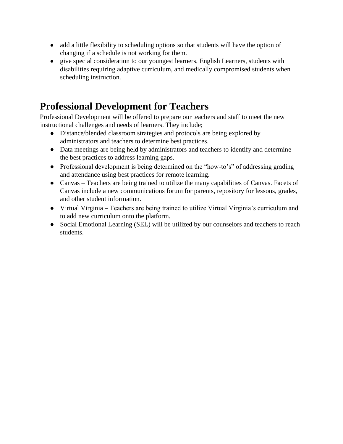- add a little flexibility to scheduling options so that students will have the option of changing if a schedule is not working for them.
- give special consideration to our youngest learners, English Learners, students with disabilities requiring adaptive curriculum, and medically compromised students when scheduling instruction.

## **Professional Development for Teachers**

Professional Development will be offered to prepare our teachers and staff to meet the new instructional challenges and needs of learners. They include;

- Distance/blended classroom strategies and protocols are being explored by administrators and teachers to determine best practices.
- Data meetings are being held by administrators and teachers to identify and determine the best practices to address learning gaps.
- Professional development is being determined on the "how-to's" of addressing grading and attendance using best practices for remote learning.
- Canvas Teachers are being trained to utilize the many capabilities of Canvas. Facets of Canvas include a new communications forum for parents, repository for lessons, grades, and other student information.
- Virtual Virginia Teachers are being trained to utilize Virtual Virginia's curriculum and to add new curriculum onto the platform.
- Social Emotional Learning (SEL) will be utilized by our counselors and teachers to reach students.